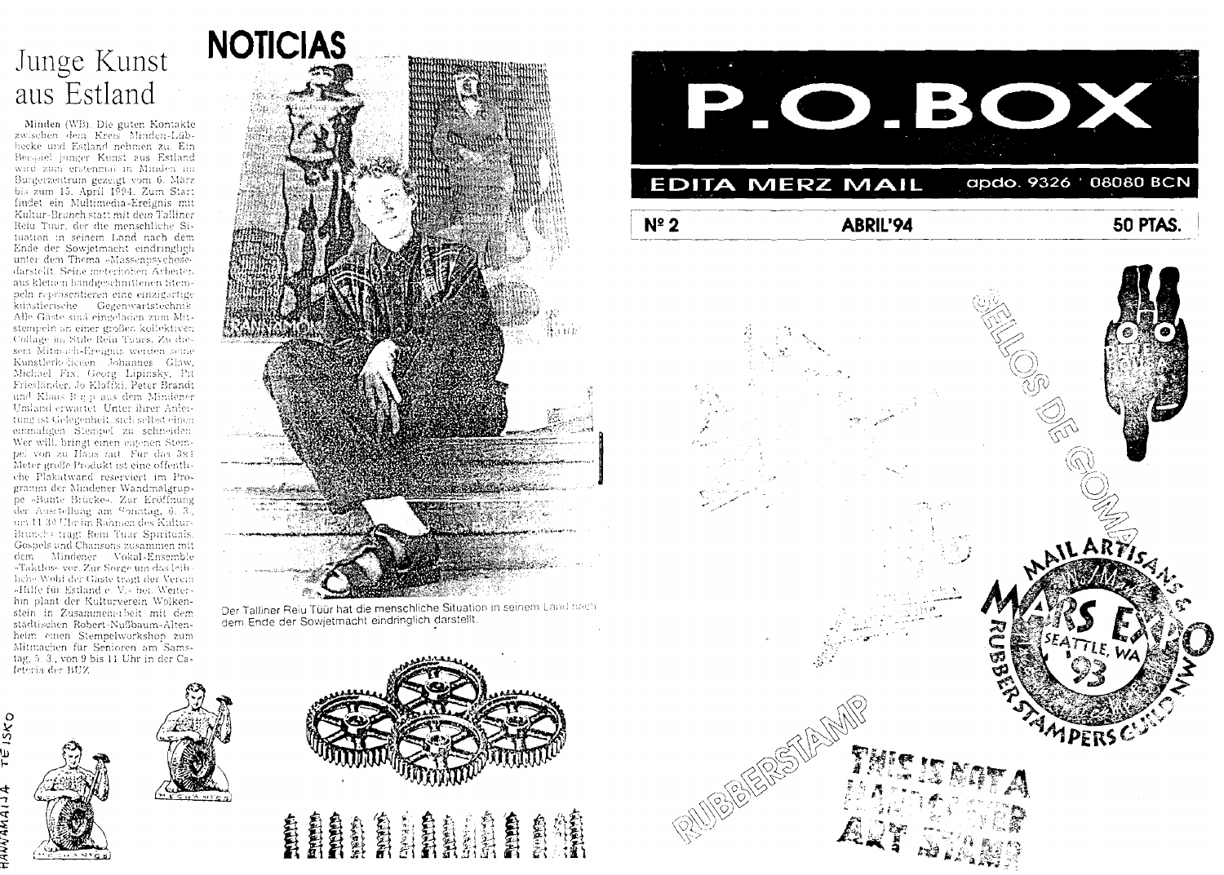## Junge Kunst aus Estland

Minden (WB). Die guten Kontakte<br>zwischen dem Kreis Minden-Lüb-<br>becke und Estland nehmen zu. Ein Benapiel junger Kunst aus Estland wird zum erstenmal in Minden im ware zouer ersember in einner in Sarz<br>Bargerzentrum gezeigt vom 6. März<br>bis zum 15. April 1994. Zum Start<br>findet ein Multimedia-Ereignis mit Kultur-Brunch statt mit dem Talliner Reiu Tuur, der die menschliche Situation in seinem Land nach dem Ende der Sowjetmacht eindringlich unter dem Thema »Massenpsychosedarstellt. Seine meterhohen Arbeiten aus kleinen handgeschmittenen Stempeln retalisentieren eine einzigartige künstlerische Gegenwartstechnik Alle Gäste sind eingeladen zum Mitstempeln an einer großen kollektiven Collage im Stile Rein Tuurs. Zu diesem Mitmach-Ereignis werden seme<br>Kunstlerkeliegen Johannes Glaw, Michael Fix, Georg Lipinsky, Pit<br>Friesländer, Jo-Klaffki, Peter Brandt and Klaus Rupp aus dem Mindener<br>Uniand erwartet Unter ihrer Anleitung ist Gelegenheit, sich selbst einen einmaligen Stempel zu schneiden. Wer will, bringt einen eigenen Stem-<br>pel von zu Haus mit Für das 3x1 Meter große Produkt ist eine offenthche Plakatwand reserviert im Programm der Mindener Wandmalgrupgramm der Allndener Wandmalgrup-<br>ge – Bunte Brickes, Zur Eröffnung<br>der Ausstellung am Sonntag, ö. 3.,<br>um 11.30 Uhr im Rahmen des Kultur-<br>Brunels tragt Retu Turr Spirituals.<br>Geopels und Chansons ausammen mit<br>dem – Mindener hche Wohl der Gäste tragt der Verein »Hilfe für Estland e. V.« bei. Weitereiner ein Zusammenerbeit mit dem<br>stein in Zusammenerbeit mit dem<br>städtischen Robert-Nußbaum-Altenheim einen Stempelworkshop zum Mitmachen für Senioren am Samstag, 5, 3, von 9 bis 11 Uhr in der Cafeteria des BUZ



Der Talliner Reiu Tüür hat die menschliche Situation in seinem Land nach dem Ende der Sowjetmacht eindringlich darstellt









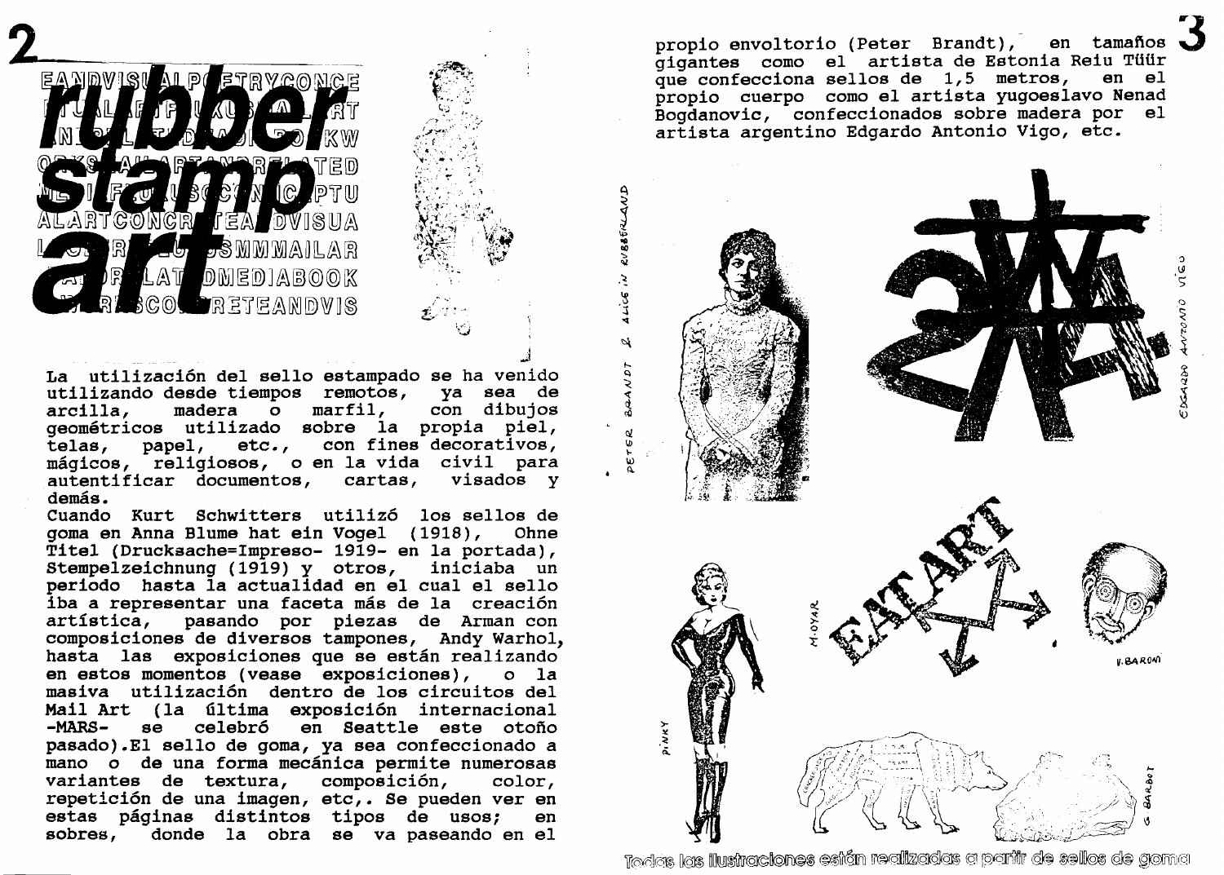

لمد **La utilización del sello estampado se ha venido utilizando desde tiempos remotos, ya sea de**  con dibujos **geométricos utilizado sobre la propia piel,**  papel, etc., con fines decorativos. **mágicos, religiosos, o en la vida civil para**  autentificar documentos, cartas, **demás.** 

**i** - 1 **'d** 

**Cuando Kurt Schwitters utilizó los sellos de goma en Anna Blume hat ein Vogel (1918), Ohne Titel (Druckaache=Impreso- 1919- en la portada), Stempelzeichnung (1919) y otros, iniciaba un periodo hasta la actualidad en el cual el sello iba a representar una faceta más de la creación artfstica, pasando por piezas de Arman con composiciones de diversos tampones, Andy Warhol, hasta las exposiciones que se están realizando en estos momentos (vease exposiciones), o la masiva utilización dentro de los circuitos del Mail Art (la Gltima exposición internacional -MAñS- se celebró en Seattle este otoño pasado).El sello de goma, ya sea confeccionado a mano o de una forma mecánica permite numerosas variantes de textura, composición, color, repetición de una imagen, etc,. Se pueden ver en estas páginas distintos tipos de usos; en sobres, donde la obra se va paseando en el** 

**propio envoltorio (Peter Brandt)** , **en tamafios 3**  gigantes como el artista de Estonia Reiu Tüür<br>que confecciona sellos de 1.5 metros. en el que confecciona sellos de 1,5 metros, **propio cuerpo como el artista yugoeslavo Nenad Bogdanovic, confeccionados sobre madera por el artista argentino Edgardo Antonio Vigo, etc.** 



Todos las llustraciones esián realizadas a partir de sellos de goma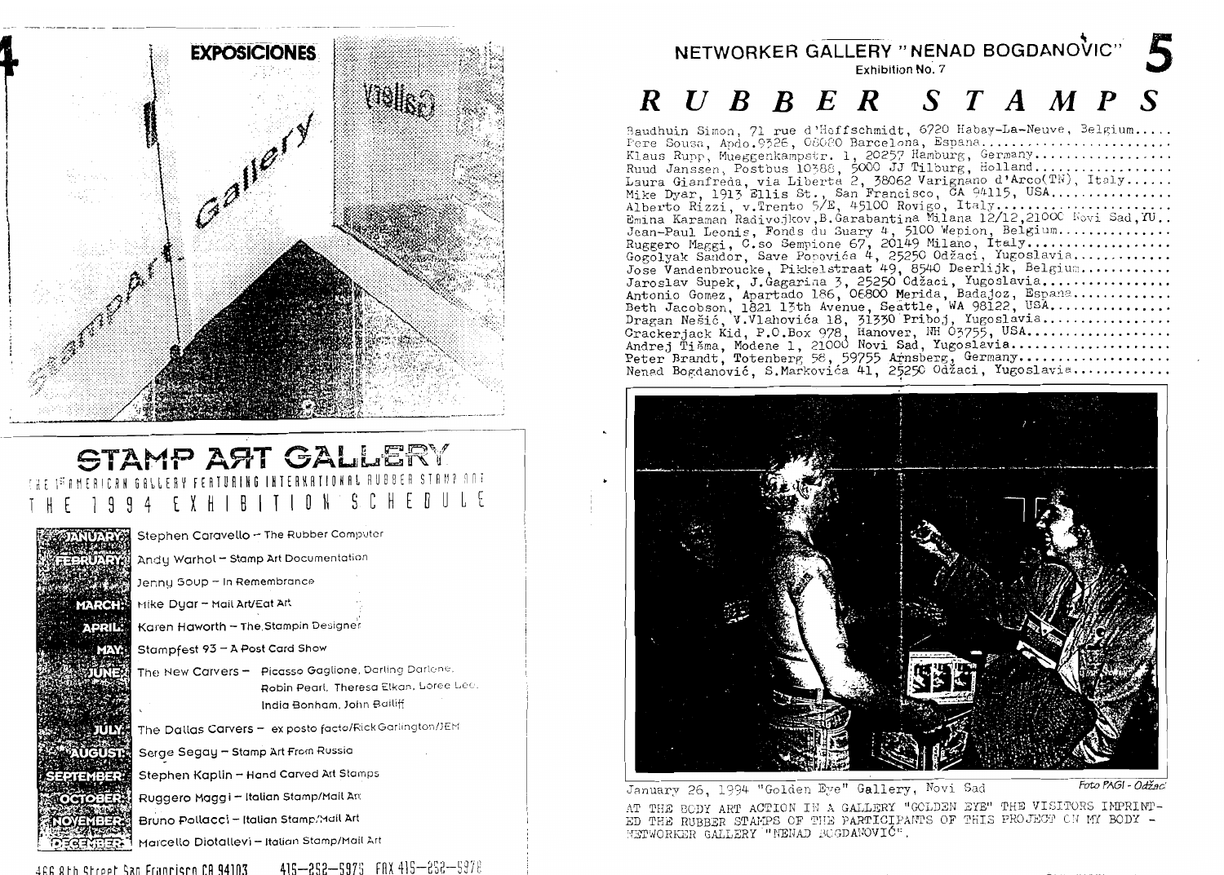

### **STAMP ART GALLER** n N EXH

Stephen Caravello - The Rubber Computer Andy Warhol - Stamp Art Documentation Jenny Soup - In Remembrance Mike Dyar - Mail Art/Eat Art **MARCH** Karen Haworth - The Stampin Designer APRIL: Stampfest 93 - A Post Card Show The New Carvers - Picasso Gaglione, Darling Darlane, Robin Pearl, Theresa Elkan, Loree Lee. India Bonham, John Bailiff The Dallas Carvers - ex posto facto/FickGarlington/JEM TUTKER ិបថាទាន់ Serge Segay - Stamp Art From Russia Stephen Kaplin - Hand Carved Art Stamps EPTEMBER Ruggero Maggi - Italian Stamp/Mail Ant **OCTOBE** Bruno Pollacci - Italian Stamp. Mail Art Marcello Diotallevi - Italian Stamp/Mail Art

# NETWORKER GALLERY "NENAD BOGDANOVIC"

### $R$  U B B E R S T A M P S

Baudhuin Simon, 71 rue d'Hoffschmidt, 6720 Habay-La-Neuve, Belgium.....<br>Fere Sousa, Apdo.9326, 08080 Barcelona, Espana.................................. Klaus Rupp, Mueggenkampstr. 1, 20257 Hamburg, Germany.................. 



January 26, 1994 "Golden Eye" Gallery, Novi Sad

Foto PAGI - Odžac

AT THE BODY ART ACTION IN A GALLERY "GOLDEN EYE" THE VISITORS IMPRINT-ED THE RUBBER STAMPS OF THE PARTICIPANTS OF THIS PROJECT ON MY BODY -WETWORKER GALLERY "NENAD BOGDANOVIC".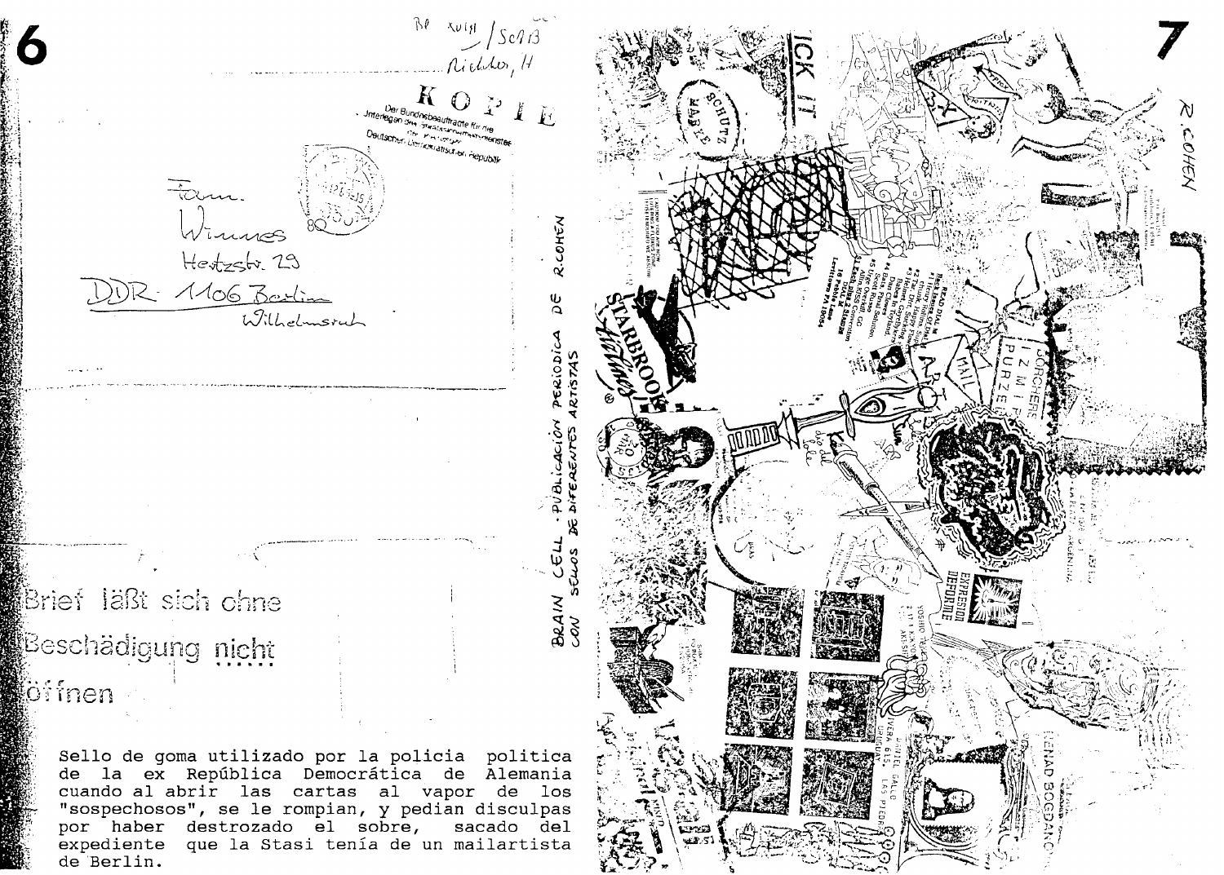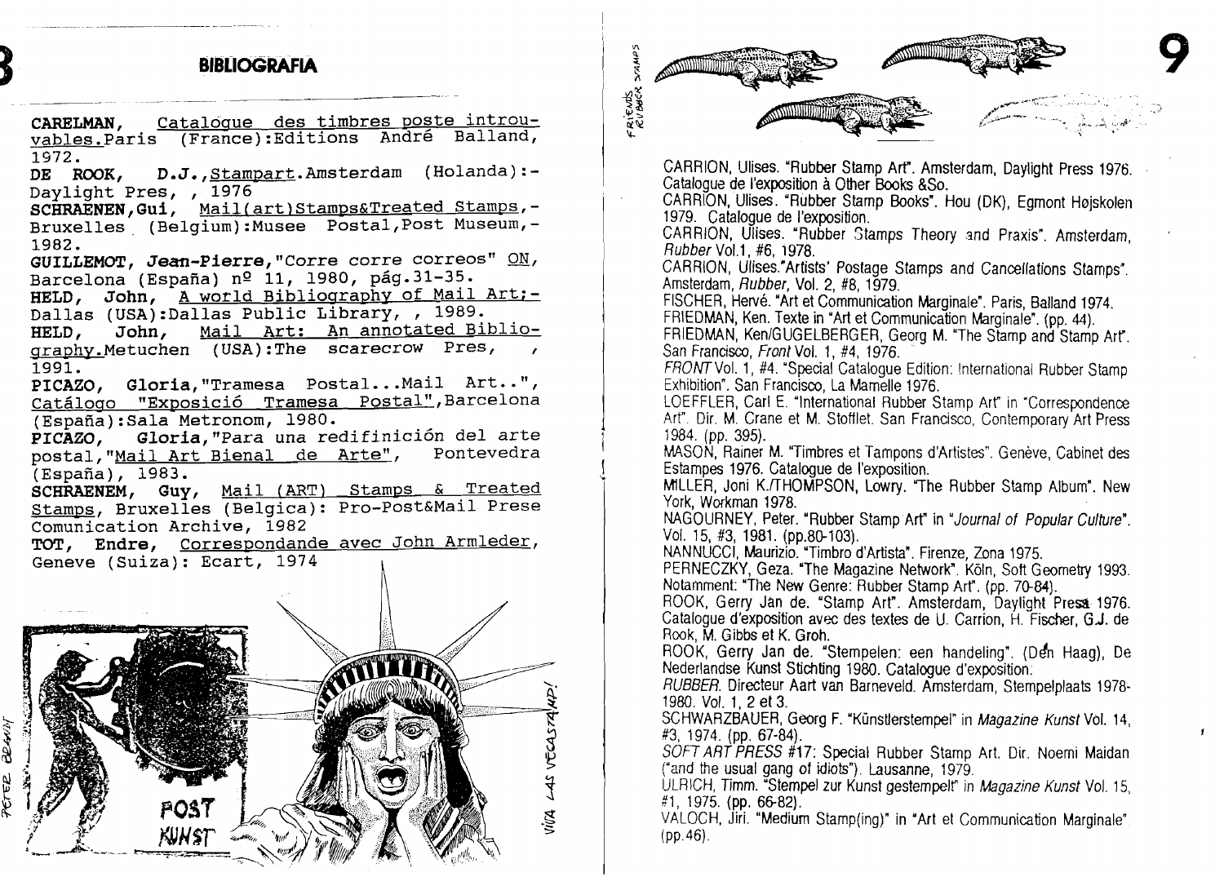





CARRION, Lllises. "Rubber Stamp **ArY.** Amsterdam, Daylight Press 1976. Catalogue de I'exposition a Other Books &So.

CARRION, Ulises. "Rubber Stamp Books". Hou (DK), Egrnont Hojskolen 1979. Catalogue de I'exposition.

CARRION, Ulises. "Rubber Stamps Theory and Praxis". Amsterdam, Rubber Vol.1, #6, 1978.

CARRION, Ulises."Artists' Postage Stamps and Cancellations Stamps". Amsterdam, Rubber, Vol. 2, #8, 1979.

FISCHER, Hervé. "Art et Communication Marginale". Paris, Balland 1974. FRIEDMAN, Ken. Texte in "Art et Communication Marginale". (pp. 44).

FRIEDMAN, Ken/GUGELBERGER, Georg M. "The Stamp and Stamp Art". San Francisco, Front Vol. 1, #4, 1976.

FRONTVol. 1, **#4.** 'Special Catalogue Edition: lnternational Rubber Stamp Exhibition". San Francisco, La Mamelle 1976.

LOEFFLER, Carl E. "International Rubber Stamp Art" in "Correspondence **Art".** Dir. M. Crane et M. Stofflet. San Francisco, Contemporary Art Press 1984. (pp. 395).

MASON, Rainer M. "Timbres et Tampons d'Artistes". Genève, Cabinet des Estampes 1976. Catalogue de I'exposition.

MLLER, Joni K./THOMPSON, Lowry. "The Rubber Stamp Album". New York, Workman 1978.

NAGOLIRNEY, Peter. "Rubber Stamp Art" in "Journal of Popular Cultvre". Vol. 15, #3, 1981. (pp.8@103).

NANNUCCI, Maurizio. "Timbro d'Artista". Firenze, Zona 1975.

PERNECZKY, Geza. "The Magazine Network". Köln, Soft Geometry 1993. Notamment: "The **New** Genre: Rubber Stamp Arr. (pp. 70-84).

ROOK, Gerry Jan de. "Stamp Art". Amsterdam, Daylight Press 1976. Catalogue d'exposition avec des textes de U. Carrion, H. Fischer, G.J. de **Rook,** M. Gibbs et K. Groh.

ROOK, Gerry Jan de. "Stempelen: een handeling". (Den Haag), De Nederlandse Kunst Stichting 1980. Catalogue d'exposition:

RUBBER. Directeur Aart van Barneveld. Amsterdam, Stempelplaats 1978- 1980. Vol. 1, 2 et 3.

SCHWARZBAUER, Georg F. "Künstlerstempel" in Magazine *Kunst* Vol. 14, #3, 1974. (pp. 67-84).

SOFT ART PRESS #17: Special Rubber Stamp Art. Dir. Noemi Maidan ("and tie usual gang of **idiots").** Lausanne, 1979.

ULRICH, Timm. 'Stempel zur Kunst gesternpelr in *Magazine Kunst* Vol. 15, #1, 1975. (pp. 66-82).

VALOCH, Jiri. "Medium Stamp(ing)" in 'Art et Communication Marginale" **(pp.46).**